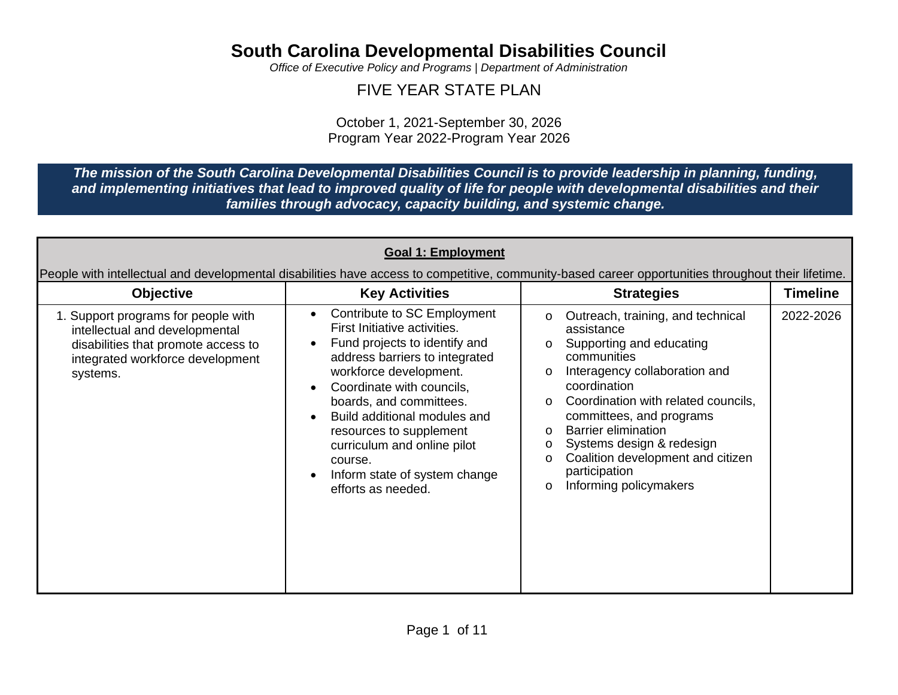*Office of Executive Policy and Programs | Department of Administration*

#### FIVE YEAR STATE PLAN

October 1, 2021-September 30, 2026 Program Year 2022-Program Year 2026

*The mission of the South Carolina Developmental Disabilities Council is to provide leadership in planning, funding, and implementing initiatives that lead to improved quality of life for people with developmental disabilities and their families through advocacy, capacity building, and systemic change.*

| <b>Objective</b>                                                                                                                                             | <b>Key Activities</b>                                                                                                                                                                                                                                                                                                                                                                                               | <b>Strategies</b>                                                                                                                                                                                                                                                                                                                                                                                 | <b>Timeline</b> |
|--------------------------------------------------------------------------------------------------------------------------------------------------------------|---------------------------------------------------------------------------------------------------------------------------------------------------------------------------------------------------------------------------------------------------------------------------------------------------------------------------------------------------------------------------------------------------------------------|---------------------------------------------------------------------------------------------------------------------------------------------------------------------------------------------------------------------------------------------------------------------------------------------------------------------------------------------------------------------------------------------------|-----------------|
| 1. Support programs for people with<br>intellectual and developmental<br>disabilities that promote access to<br>integrated workforce development<br>systems. | Contribute to SC Employment<br>$\bullet$<br>First Initiative activities.<br>Fund projects to identify and<br>address barriers to integrated<br>workforce development.<br>Coordinate with councils,<br>$\bullet$<br>boards, and committees.<br>Build additional modules and<br>$\bullet$<br>resources to supplement<br>curriculum and online pilot<br>course.<br>Inform state of system change<br>efforts as needed. | Outreach, training, and technical<br>0<br>assistance<br>Supporting and educating<br>O<br>communities<br>Interagency collaboration and<br>O<br>coordination<br>Coordination with related councils,<br>O<br>committees, and programs<br><b>Barrier elimination</b><br>O<br>Systems design & redesign<br>o<br>Coalition development and citizen<br>O<br>participation<br>Informing policymakers<br>O | 2022-2026       |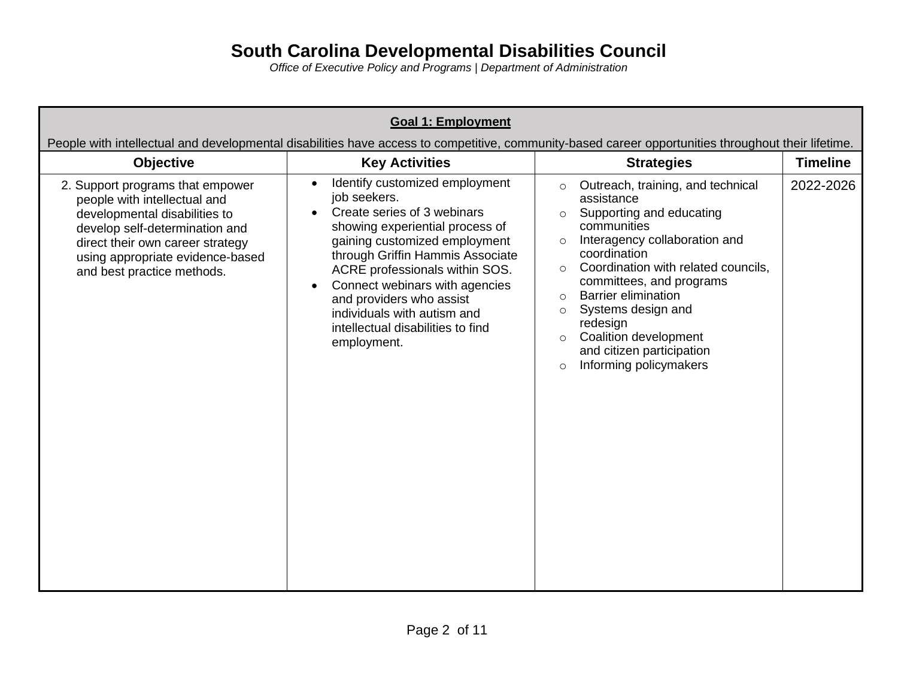| <b>Goal 1: Employment</b><br>People with intellectual and developmental disabilities have access to competitive, community-based career opportunities throughout their lifetime.                                                          |                                                                                                                                                                                                                                                                                                                                                                                                    |                                                                                                                                                                                                                                                                                                                                                                                                                                     |                 |
|-------------------------------------------------------------------------------------------------------------------------------------------------------------------------------------------------------------------------------------------|----------------------------------------------------------------------------------------------------------------------------------------------------------------------------------------------------------------------------------------------------------------------------------------------------------------------------------------------------------------------------------------------------|-------------------------------------------------------------------------------------------------------------------------------------------------------------------------------------------------------------------------------------------------------------------------------------------------------------------------------------------------------------------------------------------------------------------------------------|-----------------|
| <b>Objective</b>                                                                                                                                                                                                                          | <b>Key Activities</b>                                                                                                                                                                                                                                                                                                                                                                              | <b>Strategies</b>                                                                                                                                                                                                                                                                                                                                                                                                                   | <b>Timeline</b> |
| 2. Support programs that empower<br>people with intellectual and<br>developmental disabilities to<br>develop self-determination and<br>direct their own career strategy<br>using appropriate evidence-based<br>and best practice methods. | Identify customized employment<br>$\bullet$<br>job seekers.<br>Create series of 3 webinars<br>showing experiential process of<br>gaining customized employment<br>through Griffin Hammis Associate<br>ACRE professionals within SOS.<br>Connect webinars with agencies<br>$\bullet$<br>and providers who assist<br>individuals with autism and<br>intellectual disabilities to find<br>employment. | Outreach, training, and technical<br>$\circ$<br>assistance<br>Supporting and educating<br>communities<br>Interagency collaboration and<br>coordination<br>Coordination with related councils,<br>$\bigcirc$<br>committees, and programs<br><b>Barrier elimination</b><br>$\circ$<br>Systems design and<br>$\circ$<br>redesign<br>Coalition development<br>$\circ$<br>and citizen participation<br>Informing policymakers<br>$\circ$ | 2022-2026       |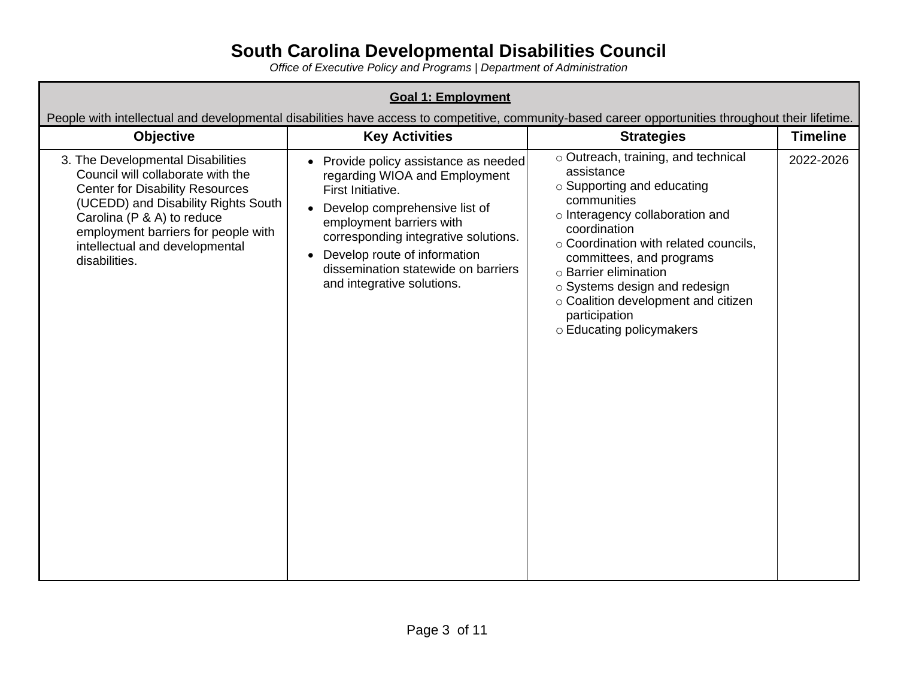| <b>Goal 1: Employment</b>                                                                                                                                                                                                                                                       |                                                                                                                                                                                                                                                                                                       |                                                                                                                                                                                                                                                                                                                                                                      |           |
|---------------------------------------------------------------------------------------------------------------------------------------------------------------------------------------------------------------------------------------------------------------------------------|-------------------------------------------------------------------------------------------------------------------------------------------------------------------------------------------------------------------------------------------------------------------------------------------------------|----------------------------------------------------------------------------------------------------------------------------------------------------------------------------------------------------------------------------------------------------------------------------------------------------------------------------------------------------------------------|-----------|
| People with intellectual and developmental disabilities have access to competitive, community-based career opportunities throughout their lifetime.<br><b>Key Activities</b><br><b>Timeline</b><br><b>Objective</b><br><b>Strategies</b>                                        |                                                                                                                                                                                                                                                                                                       |                                                                                                                                                                                                                                                                                                                                                                      |           |
| 3. The Developmental Disabilities<br>Council will collaborate with the<br><b>Center for Disability Resources</b><br>(UCEDD) and Disability Rights South<br>Carolina (P & A) to reduce<br>employment barriers for people with<br>intellectual and developmental<br>disabilities. | • Provide policy assistance as needed<br>regarding WIOA and Employment<br>First Initiative.<br>Develop comprehensive list of<br>employment barriers with<br>corresponding integrative solutions.<br>Develop route of information<br>dissemination statewide on barriers<br>and integrative solutions. | o Outreach, training, and technical<br>assistance<br>○ Supporting and educating<br>communities<br>o Interagency collaboration and<br>coordination<br>○ Coordination with related councils,<br>committees, and programs<br>o Barrier elimination<br>o Systems design and redesign<br>o Coalition development and citizen<br>participation<br>o Educating policymakers | 2022-2026 |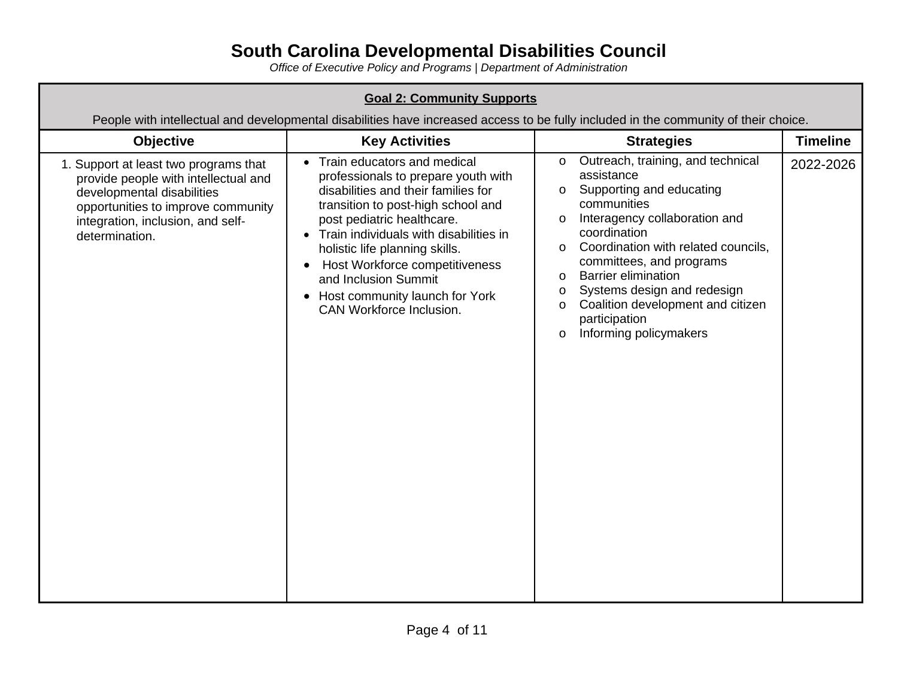| <b>Goal 2: Community Supports</b><br>People with intellectual and developmental disabilities have increased access to be fully included in the community of their choice.                                |                                                                                                                                                                                                                                                                                                                                                                                                                 |                                                                                                                                                                                                                                                                                                                                                                                                                                                |                 |
|----------------------------------------------------------------------------------------------------------------------------------------------------------------------------------------------------------|-----------------------------------------------------------------------------------------------------------------------------------------------------------------------------------------------------------------------------------------------------------------------------------------------------------------------------------------------------------------------------------------------------------------|------------------------------------------------------------------------------------------------------------------------------------------------------------------------------------------------------------------------------------------------------------------------------------------------------------------------------------------------------------------------------------------------------------------------------------------------|-----------------|
| <b>Objective</b>                                                                                                                                                                                         | <b>Key Activities</b>                                                                                                                                                                                                                                                                                                                                                                                           | <b>Strategies</b>                                                                                                                                                                                                                                                                                                                                                                                                                              | <b>Timeline</b> |
| 1. Support at least two programs that<br>provide people with intellectual and<br>developmental disabilities<br>opportunities to improve community<br>integration, inclusion, and self-<br>determination. | Train educators and medical<br>$\bullet$<br>professionals to prepare youth with<br>disabilities and their families for<br>transition to post-high school and<br>post pediatric healthcare.<br>• Train individuals with disabilities in<br>holistic life planning skills.<br>Host Workforce competitiveness<br>$\bullet$<br>and Inclusion Summit<br>• Host community launch for York<br>CAN Workforce Inclusion. | Outreach, training, and technical<br>$\mathsf{o}$<br>assistance<br>Supporting and educating<br>$\Omega$<br>communities<br>Interagency collaboration and<br>$\mathsf{o}$<br>coordination<br>Coordination with related councils,<br>$\Omega$<br>committees, and programs<br><b>Barrier elimination</b><br>$\Omega$<br>Systems design and redesign<br>O<br>Coalition development and citizen<br>0<br>participation<br>Informing policymakers<br>O | 2022-2026       |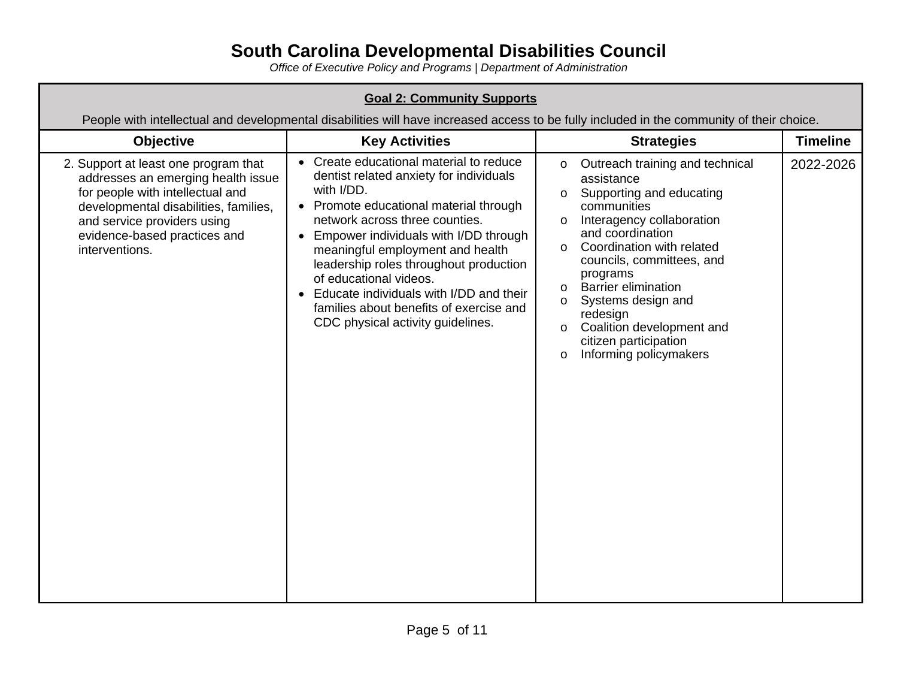| <b>Goal 2: Community Supports</b><br>People with intellectual and developmental disabilities will have increased access to be fully included in the community of their choice.                                                           |                                                                                                                                                                                                                                                                                                                                                                                                                                                          |                                                                                                                                                                                                                                                                                                                                                                                                                                                      |                 |
|------------------------------------------------------------------------------------------------------------------------------------------------------------------------------------------------------------------------------------------|----------------------------------------------------------------------------------------------------------------------------------------------------------------------------------------------------------------------------------------------------------------------------------------------------------------------------------------------------------------------------------------------------------------------------------------------------------|------------------------------------------------------------------------------------------------------------------------------------------------------------------------------------------------------------------------------------------------------------------------------------------------------------------------------------------------------------------------------------------------------------------------------------------------------|-----------------|
| <b>Objective</b>                                                                                                                                                                                                                         | <b>Key Activities</b>                                                                                                                                                                                                                                                                                                                                                                                                                                    | <b>Strategies</b>                                                                                                                                                                                                                                                                                                                                                                                                                                    | <b>Timeline</b> |
| 2. Support at least one program that<br>addresses an emerging health issue<br>for people with intellectual and<br>developmental disabilities, families,<br>and service providers using<br>evidence-based practices and<br>interventions. | • Create educational material to reduce<br>dentist related anxiety for individuals<br>with I/DD.<br>• Promote educational material through<br>network across three counties.<br>Empower individuals with I/DD through<br>meaningful employment and health<br>leadership roles throughout production<br>of educational videos.<br>Educate individuals with I/DD and their<br>families about benefits of exercise and<br>CDC physical activity guidelines. | Outreach training and technical<br>$\Omega$<br>assistance<br>Supporting and educating<br>0<br>communities<br>Interagency collaboration<br>and coordination<br>Coordination with related<br>$\Omega$<br>councils, committees, and<br>programs<br><b>Barrier elimination</b><br>$\Omega$<br>Systems design and<br>$\Omega$<br>redesign<br>Coalition development and<br>$\mathsf{o}$<br>citizen participation<br>Informing policymakers<br>$\mathsf{o}$ | 2022-2026       |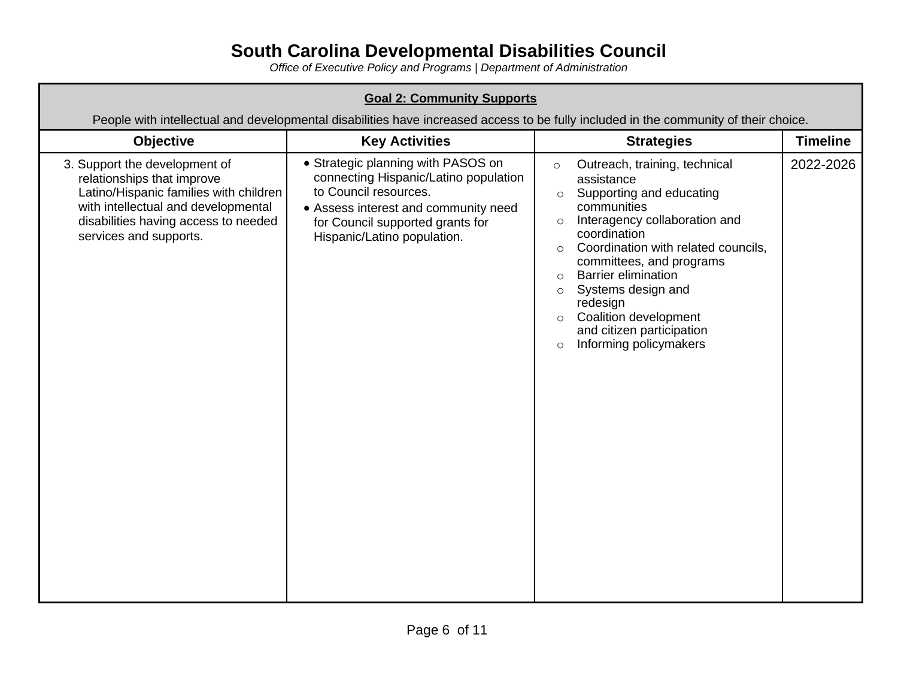| <b>Goal 2: Community Supports</b><br>People with intellectual and developmental disabilities have increased access to be fully included in the community of their choice.                                      |                                                                                                                                                                                                                 |                                                                                                                                                                                                                                                                                                                                                                                                                                                    |                 |
|----------------------------------------------------------------------------------------------------------------------------------------------------------------------------------------------------------------|-----------------------------------------------------------------------------------------------------------------------------------------------------------------------------------------------------------------|----------------------------------------------------------------------------------------------------------------------------------------------------------------------------------------------------------------------------------------------------------------------------------------------------------------------------------------------------------------------------------------------------------------------------------------------------|-----------------|
| Objective                                                                                                                                                                                                      | <b>Key Activities</b>                                                                                                                                                                                           | <b>Strategies</b>                                                                                                                                                                                                                                                                                                                                                                                                                                  | <b>Timeline</b> |
| 3. Support the development of<br>relationships that improve<br>Latino/Hispanic families with children<br>with intellectual and developmental<br>disabilities having access to needed<br>services and supports. | • Strategic planning with PASOS on<br>connecting Hispanic/Latino population<br>to Council resources.<br>• Assess interest and community need<br>for Council supported grants for<br>Hispanic/Latino population. | Outreach, training, technical<br>$\circ$<br>assistance<br>Supporting and educating<br>$\circ$<br>communities<br>Interagency collaboration and<br>$\circ$<br>coordination<br>Coordination with related councils,<br>$\circ$<br>committees, and programs<br><b>Barrier elimination</b><br>$\circ$<br>Systems design and<br>$\circ$<br>redesign<br>Coalition development<br>$\circ$<br>and citizen participation<br>Informing policymakers<br>$\circ$ | 2022-2026       |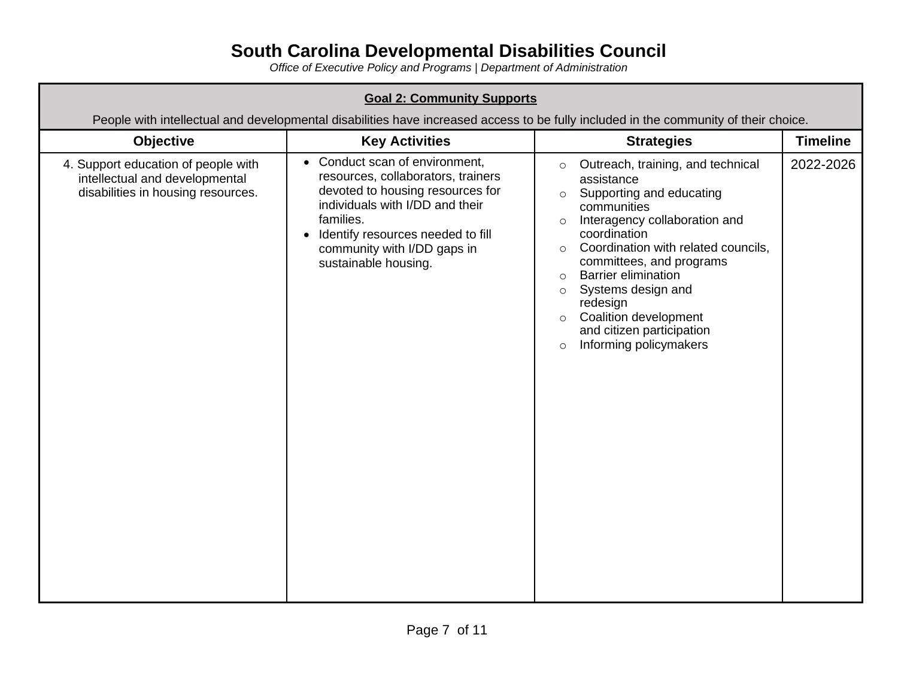| <b>Goal 2: Community Supports</b><br>People with intellectual and developmental disabilities have increased access to be fully included in the community of their choice. |                                                                                                                                                                                                                                                                   |                                                                                                                                                                                                                                                                                                                                                                                                                                                        |                 |
|---------------------------------------------------------------------------------------------------------------------------------------------------------------------------|-------------------------------------------------------------------------------------------------------------------------------------------------------------------------------------------------------------------------------------------------------------------|--------------------------------------------------------------------------------------------------------------------------------------------------------------------------------------------------------------------------------------------------------------------------------------------------------------------------------------------------------------------------------------------------------------------------------------------------------|-----------------|
| Objective                                                                                                                                                                 | <b>Key Activities</b>                                                                                                                                                                                                                                             | <b>Strategies</b>                                                                                                                                                                                                                                                                                                                                                                                                                                      | <b>Timeline</b> |
| 4. Support education of people with<br>intellectual and developmental<br>disabilities in housing resources.                                                               | • Conduct scan of environment,<br>resources, collaborators, trainers<br>devoted to housing resources for<br>individuals with I/DD and their<br>families.<br>Identify resources needed to fill<br>$\bullet$<br>community with I/DD gaps in<br>sustainable housing. | Outreach, training, and technical<br>$\circ$<br>assistance<br>Supporting and educating<br>$\circ$<br>communities<br>Interagency collaboration and<br>$\circ$<br>coordination<br>Coordination with related councils,<br>$\circ$<br>committees, and programs<br><b>Barrier elimination</b><br>$\circ$<br>Systems design and<br>$\circ$<br>redesign<br>Coalition development<br>$\circ$<br>and citizen participation<br>Informing policymakers<br>$\circ$ | 2022-2026       |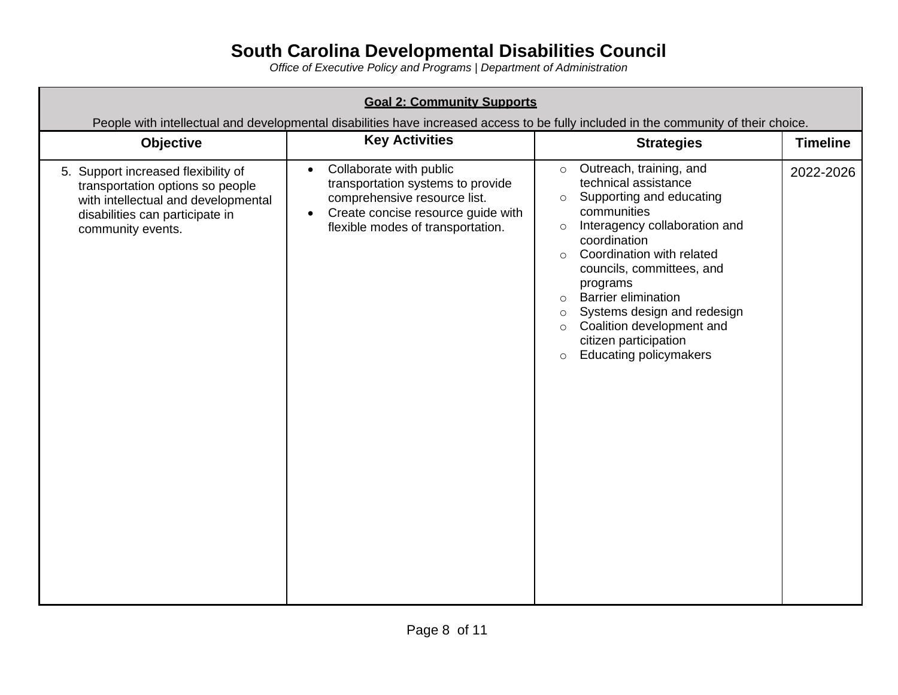| <b>Goal 2: Community Supports</b><br>People with intellectual and developmental disabilities have increased access to be fully included in the community of their choice. |                                                                                                                                                                                                   |                                                                                                                                                                                                                                                                                                                                                                                                                                                               |                 |
|---------------------------------------------------------------------------------------------------------------------------------------------------------------------------|---------------------------------------------------------------------------------------------------------------------------------------------------------------------------------------------------|---------------------------------------------------------------------------------------------------------------------------------------------------------------------------------------------------------------------------------------------------------------------------------------------------------------------------------------------------------------------------------------------------------------------------------------------------------------|-----------------|
| <b>Objective</b>                                                                                                                                                          | <b>Key Activities</b>                                                                                                                                                                             | <b>Strategies</b>                                                                                                                                                                                                                                                                                                                                                                                                                                             | <b>Timeline</b> |
| 5. Support increased flexibility of<br>transportation options so people<br>with intellectual and developmental<br>disabilities can participate in<br>community events.    | Collaborate with public<br>$\bullet$<br>transportation systems to provide<br>comprehensive resource list.<br>Create concise resource guide with<br>$\bullet$<br>flexible modes of transportation. | Outreach, training, and<br>$\circ$<br>technical assistance<br>Supporting and educating<br>$\circ$<br>communities<br>Interagency collaboration and<br>$\circ$<br>coordination<br>Coordination with related<br>$\circ$<br>councils, committees, and<br>programs<br><b>Barrier elimination</b><br>$\circ$<br>Systems design and redesign<br>$\circ$<br>Coalition development and<br>$\circ$<br>citizen participation<br><b>Educating policymakers</b><br>$\circ$ | 2022-2026       |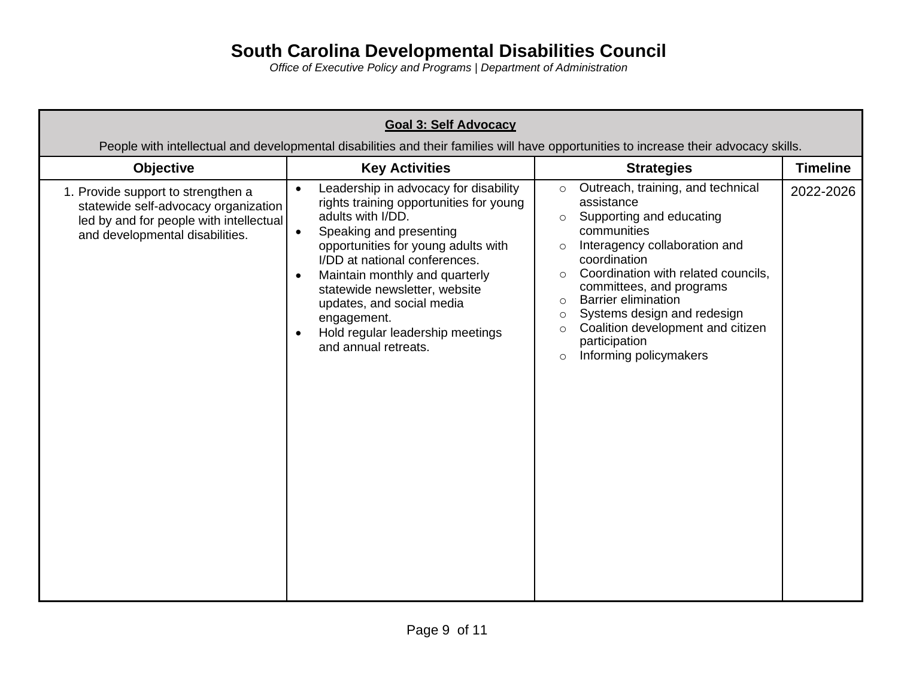| <b>Goal 3: Self Advocacy</b><br>People with intellectual and developmental disabilities and their families will have opportunities to increase their advocacy skills. |                                                                                                                                                                                                                                                                                                                                                                                                                                         |                                                                                                                                                                                                                                                                                                                                                                                                                                          |                 |
|-----------------------------------------------------------------------------------------------------------------------------------------------------------------------|-----------------------------------------------------------------------------------------------------------------------------------------------------------------------------------------------------------------------------------------------------------------------------------------------------------------------------------------------------------------------------------------------------------------------------------------|------------------------------------------------------------------------------------------------------------------------------------------------------------------------------------------------------------------------------------------------------------------------------------------------------------------------------------------------------------------------------------------------------------------------------------------|-----------------|
| <b>Objective</b>                                                                                                                                                      | <b>Key Activities</b>                                                                                                                                                                                                                                                                                                                                                                                                                   | <b>Strategies</b>                                                                                                                                                                                                                                                                                                                                                                                                                        | <b>Timeline</b> |
| 1. Provide support to strengthen a<br>statewide self-advocacy organization<br>led by and for people with intellectual<br>and developmental disabilities.              | Leadership in advocacy for disability<br>$\bullet$<br>rights training opportunities for young<br>adults with I/DD.<br>Speaking and presenting<br>$\bullet$<br>opportunities for young adults with<br>I/DD at national conferences.<br>Maintain monthly and quarterly<br>$\bullet$<br>statewide newsletter, website<br>updates, and social media<br>engagement.<br>Hold regular leadership meetings<br>$\bullet$<br>and annual retreats. | Outreach, training, and technical<br>$\circ$<br>assistance<br>Supporting and educating<br>$\circ$<br>communities<br>Interagency collaboration and<br>coordination<br>Coordination with related councils,<br>$\circ$<br>committees, and programs<br><b>Barrier elimination</b><br>$\circ$<br>Systems design and redesign<br>$\circ$<br>Coalition development and citizen<br>$\circ$<br>participation<br>Informing policymakers<br>$\circ$ | 2022-2026       |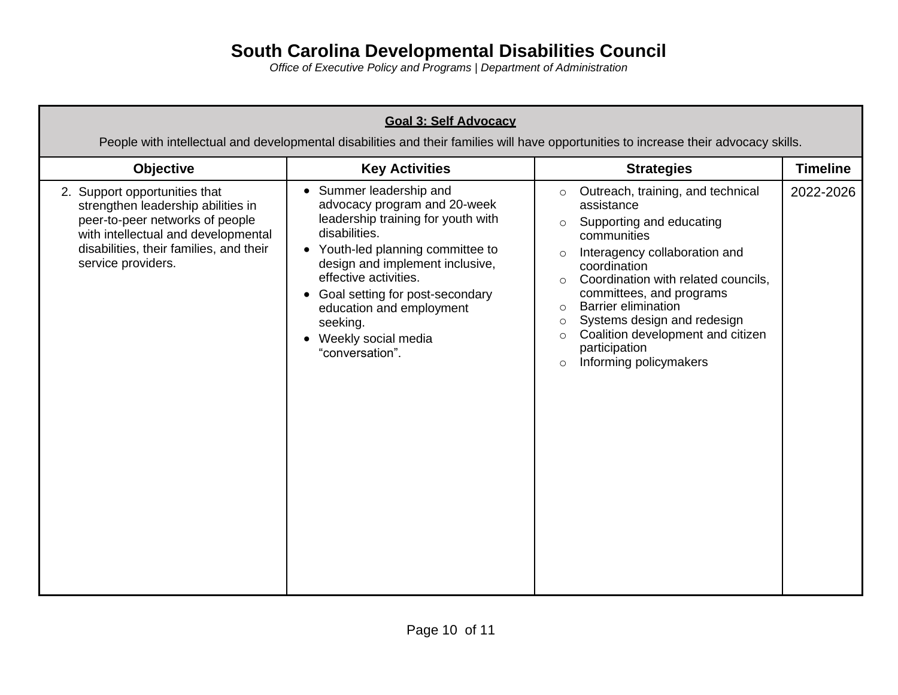| <b>Goal 3: Self Advocacy</b><br>People with intellectual and developmental disabilities and their families will have opportunities to increase their advocacy skills.                                          |                                                                                                                                                                                                                                                                                                                                                   |                                                                                                                                                                                                                                                                                                                                                                                                                                                     |                 |
|----------------------------------------------------------------------------------------------------------------------------------------------------------------------------------------------------------------|---------------------------------------------------------------------------------------------------------------------------------------------------------------------------------------------------------------------------------------------------------------------------------------------------------------------------------------------------|-----------------------------------------------------------------------------------------------------------------------------------------------------------------------------------------------------------------------------------------------------------------------------------------------------------------------------------------------------------------------------------------------------------------------------------------------------|-----------------|
| <b>Objective</b>                                                                                                                                                                                               | <b>Key Activities</b>                                                                                                                                                                                                                                                                                                                             | <b>Strategies</b>                                                                                                                                                                                                                                                                                                                                                                                                                                   | <b>Timeline</b> |
| 2. Support opportunities that<br>strengthen leadership abilities in<br>peer-to-peer networks of people<br>with intellectual and developmental<br>disabilities, their families, and their<br>service providers. | • Summer leadership and<br>advocacy program and 20-week<br>leadership training for youth with<br>disabilities.<br>• Youth-led planning committee to<br>design and implement inclusive,<br>effective activities.<br>Goal setting for post-secondary<br>$\bullet$<br>education and employment<br>seeking.<br>Weekly social media<br>"conversation". | Outreach, training, and technical<br>$\circ$<br>assistance<br>Supporting and educating<br>$\circ$<br>communities<br>Interagency collaboration and<br>$\circ$<br>coordination<br>Coordination with related councils,<br>$\circ$<br>committees, and programs<br><b>Barrier elimination</b><br>$\circ$<br>Systems design and redesign<br>$\circ$<br>Coalition development and citizen<br>$\circ$<br>participation<br>Informing policymakers<br>$\circ$ | 2022-2026       |